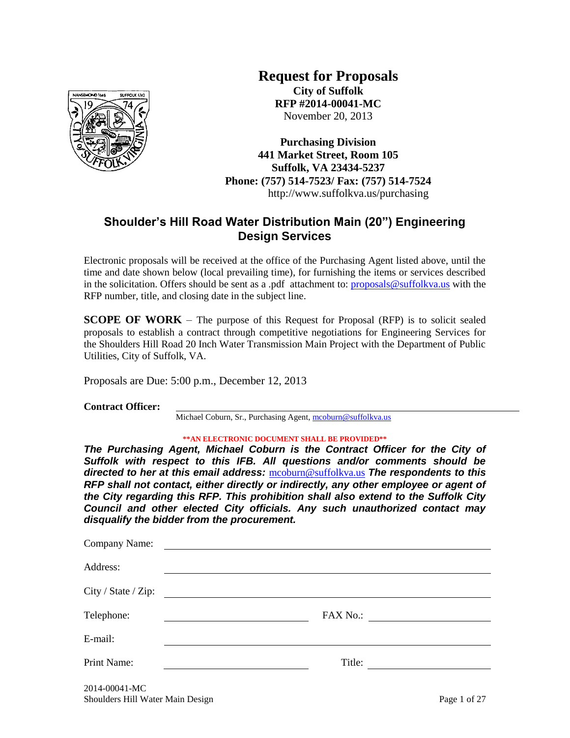

**Request for Proposals City of Suffolk RFP #2014-00041-MC** November 20, 2013

**Purchasing Division 441 Market Street, Room 105 Suffolk, VA 23434-5237 Phone: (757) 514-7523/ Fax: (757) 514-7524** http://www.suffolkva.us/purchasing

# **Shoulder's Hill Road Water Distribution Main (20") Engineering Design Services**

Electronic proposals will be received at the office of the Purchasing Agent listed above, until the time and date shown below (local prevailing time), for furnishing the items or services described in the solicitation. Offers should be sent as a .pdf attachment to: [proposals@suffolkva.us](mailto:proposals@suffolkva.us) with the RFP number, title, and closing date in the subject line.

**SCOPE OF WORK** – The purpose of this Request for Proposal (RFP) is to solicit sealed proposals to establish a contract through competitive negotiations for Engineering Services for the Shoulders Hill Road 20 Inch Water Transmission Main Project with the Department of Public Utilities, City of Suffolk, VA.

Proposals are Due: 5:00 p.m., December 12, 2013

**Contract Officer:**

Michael Coburn, Sr., Purchasing Agent[, mcoburn@suffolkva.us](mailto:mcoburn@suffolkva.us)

#### **\*\*AN ELECTRONIC DOCUMENT SHALL BE PROVIDED\*\***

*The Purchasing Agent, Michael Coburn is the Contract Officer for the City of Suffolk with respect to this IFB. All questions and/or comments should be directed to her at this email address:* [mcoburn@suffolkva.us](mailto:mcoburn@suffolkva.us) *The respondents to this RFP shall not contact, either directly or indirectly, any other employee or agent of the City regarding this RFP. This prohibition shall also extend to the Suffolk City Council and other elected City officials. Any such unauthorized contact may disqualify the bidder from the procurement.*

| Company Name:       |                                                                                                                                                                                                  |
|---------------------|--------------------------------------------------------------------------------------------------------------------------------------------------------------------------------------------------|
| Address:            |                                                                                                                                                                                                  |
| City / State / Zip: | <u> 1989 - Andrea Albert III, politik eta politik eta politik eta politik eta politik eta politik eta politik e</u>                                                                              |
| Telephone:          | <b>FAX No.:</b><br><u> 1989 - Andrea Brand, Amerikaansk politiker (</u><br><u> 1989 - Johann Harry Harry Harry Harry Harry Harry Harry Harry Harry Harry Harry Harry Harry Harry Harry Harry</u> |
| E-mail:             |                                                                                                                                                                                                  |
| Print Name:         | Title:                                                                                                                                                                                           |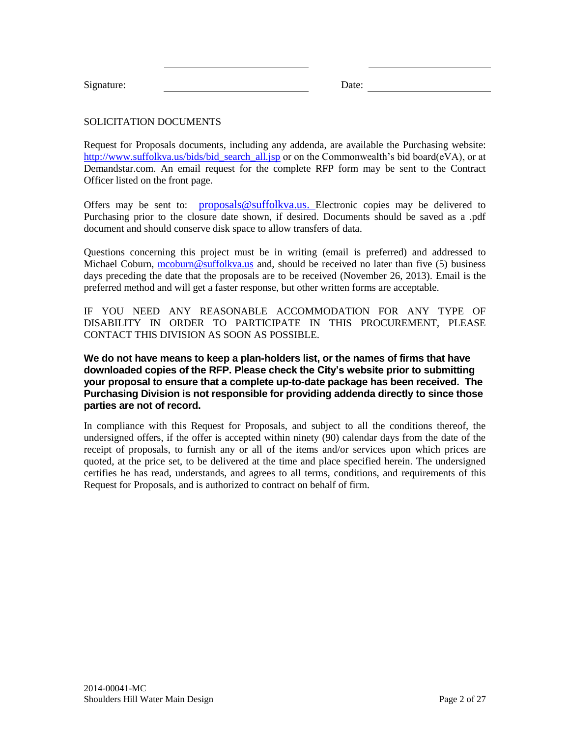| Signature: | )ate: |
|------------|-------|

### SOLICITATION DOCUMENTS

Request for Proposals documents, including any addenda, are available the Purchasing website: [http://www.suffolkva.us/bids/bid\\_search\\_all.jsp](http://www.suffolkva.us/bids/bid_search_all.jsp) or on the Commonwealth's bid board(eVA), or at Demandstar.com. An email request for the complete RFP form may be sent to the Contract Officer listed on the front page.

Offers may be sent to: [proposals@suffolkva.us.](mailto:proposals@suffolkva.us) Electronic copies may be delivered to Purchasing prior to the closure date shown, if desired. Documents should be saved as a .pdf document and should conserve disk space to allow transfers of data.

Questions concerning this project must be in writing (email is preferred) and addressed to Michael Coburn, [mcoburn@suffolkva.us](mailto:mcoburn@suffolkva.us) and, should be received no later than five (5) business days preceding the date that the proposals are to be received (November 26, 2013). Email is the preferred method and will get a faster response, but other written forms are acceptable.

IF YOU NEED ANY REASONABLE ACCOMMODATION FOR ANY TYPE OF DISABILITY IN ORDER TO PARTICIPATE IN THIS PROCUREMENT, PLEASE CONTACT THIS DIVISION AS SOON AS POSSIBLE.

**We do not have means to keep a plan-holders list, or the names of firms that have downloaded copies of the RFP. Please check the City's website prior to submitting your proposal to ensure that a complete up-to-date package has been received. The Purchasing Division is not responsible for providing addenda directly to since those parties are not of record.** 

In compliance with this Request for Proposals, and subject to all the conditions thereof, the undersigned offers, if the offer is accepted within ninety (90) calendar days from the date of the receipt of proposals, to furnish any or all of the items and/or services upon which prices are quoted, at the price set, to be delivered at the time and place specified herein. The undersigned certifies he has read, understands, and agrees to all terms, conditions, and requirements of this Request for Proposals, and is authorized to contract on behalf of firm.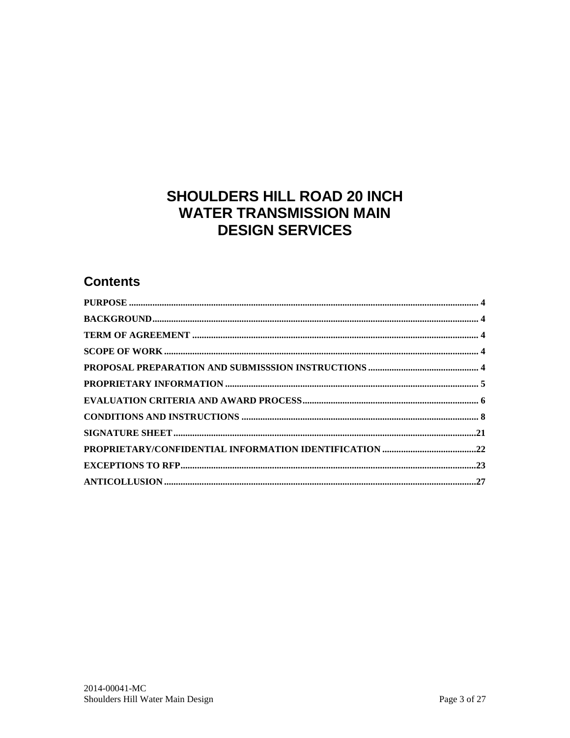# SHOULDERS HILL ROAD 20 INCH **WATER TRANSMISSION MAIN DESIGN SERVICES**

# **Contents**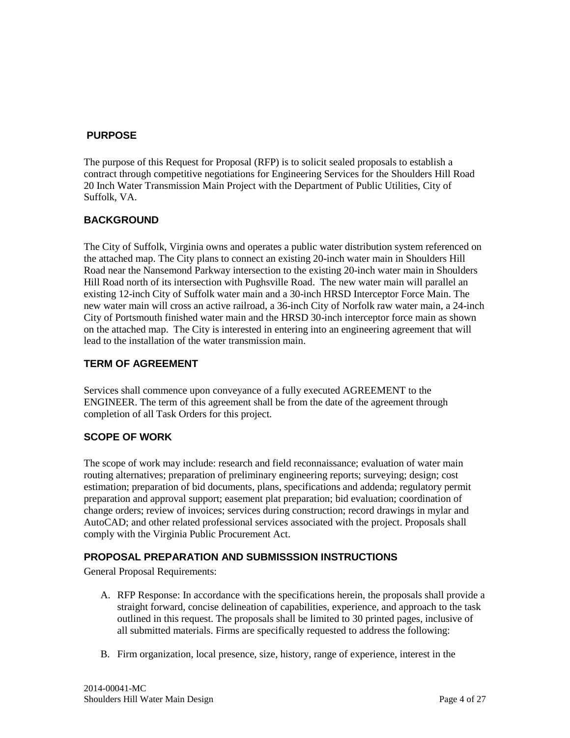## <span id="page-3-0"></span>**PURPOSE**

The purpose of this Request for Proposal (RFP) is to solicit sealed proposals to establish a contract through competitive negotiations for Engineering Services for the Shoulders Hill Road 20 Inch Water Transmission Main Project with the Department of Public Utilities, City of Suffolk, VA.

## <span id="page-3-1"></span>**BACKGROUND**

The City of Suffolk, Virginia owns and operates a public water distribution system referenced on the attached map. The City plans to connect an existing 20-inch water main in Shoulders Hill Road near the Nansemond Parkway intersection to the existing 20-inch water main in Shoulders Hill Road north of its intersection with Pughsville Road. The new water main will parallel an existing 12-inch City of Suffolk water main and a 30-inch HRSD Interceptor Force Main. The new water main will cross an active railroad, a 36-inch City of Norfolk raw water main, a 24-inch City of Portsmouth finished water main and the HRSD 30-inch interceptor force main as shown on the attached map. The City is interested in entering into an engineering agreement that will lead to the installation of the water transmission main.

## <span id="page-3-2"></span>**TERM OF AGREEMENT**

Services shall commence upon conveyance of a fully executed AGREEMENT to the ENGINEER. The term of this agreement shall be from the date of the agreement through completion of all Task Orders for this project.

# <span id="page-3-3"></span>**SCOPE OF WORK**

The scope of work may include: research and field reconnaissance; evaluation of water main routing alternatives; preparation of preliminary engineering reports; surveying; design; cost estimation; preparation of bid documents, plans, specifications and addenda; regulatory permit preparation and approval support; easement plat preparation; bid evaluation; coordination of change orders; review of invoices; services during construction; record drawings in mylar and AutoCAD; and other related professional services associated with the project. Proposals shall comply with the Virginia Public Procurement Act.

## <span id="page-3-4"></span>**PROPOSAL PREPARATION AND SUBMISSSION INSTRUCTIONS**

General Proposal Requirements:

- A. RFP Response: In accordance with the specifications herein, the proposals shall provide a straight forward, concise delineation of capabilities, experience, and approach to the task outlined in this request. The proposals shall be limited to 30 printed pages, inclusive of all submitted materials. Firms are specifically requested to address the following:
- B. Firm organization, local presence, size, history, range of experience, interest in the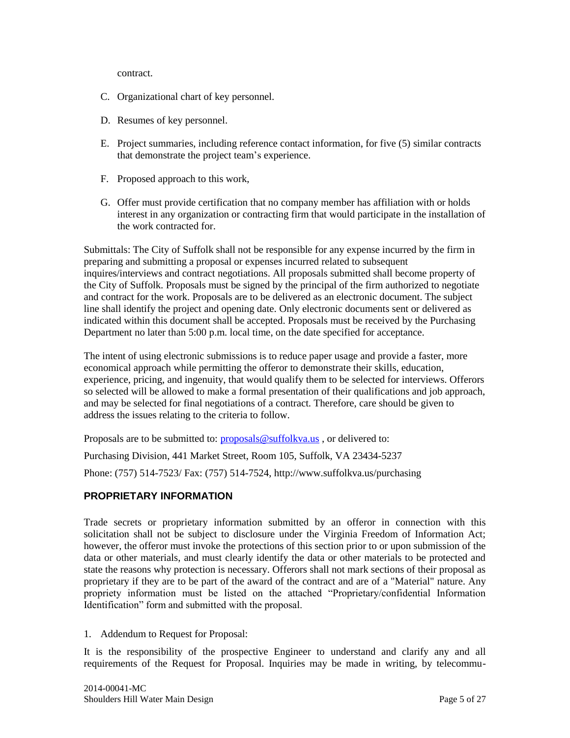contract.

- C. Organizational chart of key personnel.
- D. Resumes of key personnel.
- E. Project summaries, including reference contact information, for five (5) similar contracts that demonstrate the project team's experience.
- F. Proposed approach to this work,
- G. Offer must provide certification that no company member has affiliation with or holds interest in any organization or contracting firm that would participate in the installation of the work contracted for.

Submittals: The City of Suffolk shall not be responsible for any expense incurred by the firm in preparing and submitting a proposal or expenses incurred related to subsequent inquires/interviews and contract negotiations. All proposals submitted shall become property of the City of Suffolk. Proposals must be signed by the principal of the firm authorized to negotiate and contract for the work. Proposals are to be delivered as an electronic document. The subject line shall identify the project and opening date. Only electronic documents sent or delivered as indicated within this document shall be accepted. Proposals must be received by the Purchasing Department no later than 5:00 p.m. local time, on the date specified for acceptance.

The intent of using electronic submissions is to reduce paper usage and provide a faster, more economical approach while permitting the offeror to demonstrate their skills, education, experience, pricing, and ingenuity, that would qualify them to be selected for interviews. Offerors so selected will be allowed to make a formal presentation of their qualifications and job approach, and may be selected for final negotiations of a contract. Therefore, care should be given to address the issues relating to the criteria to follow.

Proposals are to be submitted to: [proposals@suffolkva.us](mailto:proposals@suffolkva.us), or delivered to:

Purchasing Division, 441 Market Street, Room 105, Suffolk, VA 23434-5237

Phone: (757) 514-7523/ Fax: (757) 514-7524,<http://www.suffolkva.us/purchasing>

## <span id="page-4-0"></span>**PROPRIETARY INFORMATION**

Trade secrets or proprietary information submitted by an offeror in connection with this solicitation shall not be subject to disclosure under the Virginia Freedom of Information Act; however, the offeror must invoke the protections of this section prior to or upon submission of the data or other materials, and must clearly identify the data or other materials to be protected and state the reasons why protection is necessary. Offerors shall not mark sections of their proposal as proprietary if they are to be part of the award of the contract and are of a "Material" nature. Any propriety information must be listed on the attached "Proprietary/confidential Information Identification" form and submitted with the proposal.

1. Addendum to Request for Proposal:

It is the responsibility of the prospective Engineer to understand and clarify any and all requirements of the Request for Proposal. Inquiries may be made in writing, by telecommu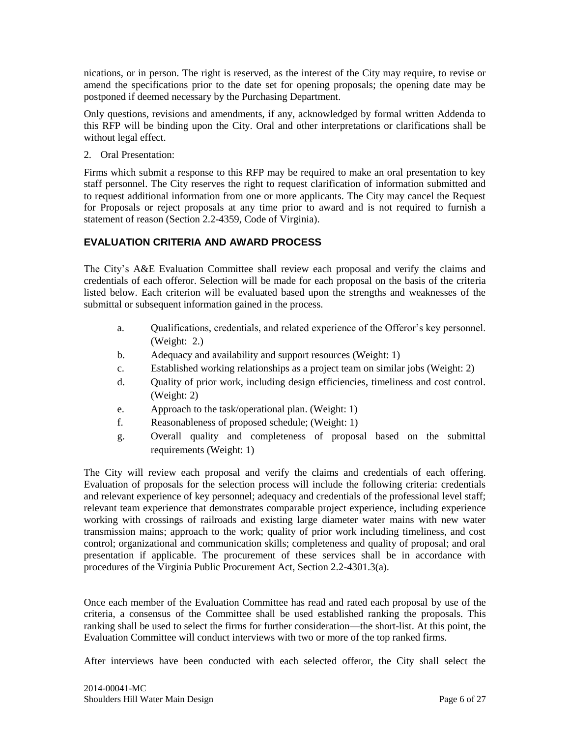nications, or in person. The right is reserved, as the interest of the City may require, to revise or amend the specifications prior to the date set for opening proposals; the opening date may be postponed if deemed necessary by the Purchasing Department.

Only questions, revisions and amendments, if any, acknowledged by formal written Addenda to this RFP will be binding upon the City. Oral and other interpretations or clarifications shall be without legal effect.

2. Oral Presentation:

Firms which submit a response to this RFP may be required to make an oral presentation to key staff personnel. The City reserves the right to request clarification of information submitted and to request additional information from one or more applicants. The City may cancel the Request for Proposals or reject proposals at any time prior to award and is not required to furnish a statement of reason (Section 2.2-4359, Code of Virginia).

# <span id="page-5-0"></span>**EVALUATION CRITERIA AND AWARD PROCESS**

The City's A&E Evaluation Committee shall review each proposal and verify the claims and credentials of each offeror. Selection will be made for each proposal on the basis of the criteria listed below. Each criterion will be evaluated based upon the strengths and weaknesses of the submittal or subsequent information gained in the process.

- a. Qualifications, credentials, and related experience of the Offeror's key personnel. (Weight: 2.)
- b. Adequacy and availability and support resources (Weight: 1)
- c. Established working relationships as a project team on similar jobs (Weight: 2)
- d. Quality of prior work, including design efficiencies, timeliness and cost control. (Weight: 2)
- e. Approach to the task/operational plan. (Weight: 1)
- f. Reasonableness of proposed schedule; (Weight: 1)
- g. Overall quality and completeness of proposal based on the submittal requirements (Weight: 1)

The City will review each proposal and verify the claims and credentials of each offering. Evaluation of proposals for the selection process will include the following criteria: credentials and relevant experience of key personnel; adequacy and credentials of the professional level staff; relevant team experience that demonstrates comparable project experience, including experience working with crossings of railroads and existing large diameter water mains with new water transmission mains; approach to the work; quality of prior work including timeliness, and cost control; organizational and communication skills; completeness and quality of proposal; and oral presentation if applicable. The procurement of these services shall be in accordance with procedures of the Virginia Public Procurement Act, Section 2.2-4301.3(a).

Once each member of the Evaluation Committee has read and rated each proposal by use of the criteria, a consensus of the Committee shall be used established ranking the proposals. This ranking shall be used to select the firms for further consideration—the short-list. At this point, the Evaluation Committee will conduct interviews with two or more of the top ranked firms.

After interviews have been conducted with each selected offeror, the City shall select the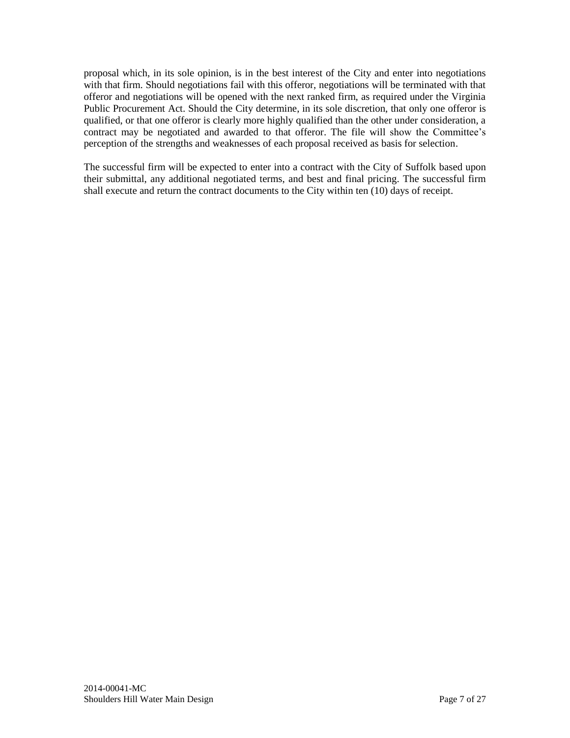proposal which, in its sole opinion, is in the best interest of the City and enter into negotiations with that firm. Should negotiations fail with this offeror, negotiations will be terminated with that offeror and negotiations will be opened with the next ranked firm, as required under the Virginia Public Procurement Act. Should the City determine, in its sole discretion, that only one offeror is qualified, or that one offeror is clearly more highly qualified than the other under consideration, a contract may be negotiated and awarded to that offeror. The file will show the Committee's perception of the strengths and weaknesses of each proposal received as basis for selection.

The successful firm will be expected to enter into a contract with the City of Suffolk based upon their submittal, any additional negotiated terms, and best and final pricing. The successful firm shall execute and return the contract documents to the City within ten (10) days of receipt.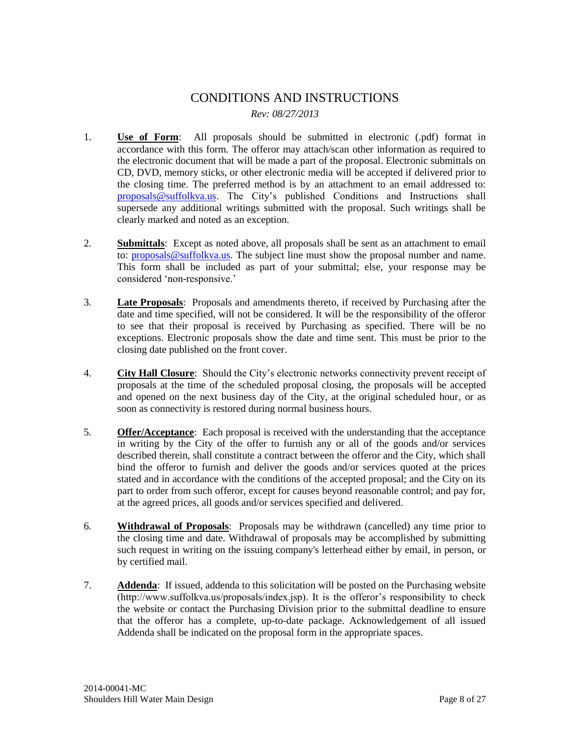# CONDITIONS AND INSTRUCTIONS *Rev: 08/27/2013*

- <span id="page-7-0"></span>1. **Use of Form**: All proposals should be submitted in electronic (.pdf) format in accordance with this form. The offeror may attach/scan other information as required to the electronic document that will be made a part of the proposal. Electronic submittals on CD, DVD, memory sticks, or other electronic media will be accepted if delivered prior to the closing time. The preferred method is by an attachment to an email addressed to: [proposals@suffolkva.us.](mailto:proposals@suffolkva.us) The City's published Conditions and Instructions shall supersede any additional writings submitted with the proposal. Such writings shall be clearly marked and noted as an exception.
- 2. **Submittals**: Except as noted above, all proposals shall be sent as an attachment to email to: [proposals@suffolkva.us.](mailto:proposals@suffolkva.us) The subject line must show the proposal number and name. This form shall be included as part of your submittal; else, your response may be considered 'non-responsive.'
- 3. **Late Proposals**: Proposals and amendments thereto, if received by Purchasing after the date and time specified, will not be considered. It will be the responsibility of the offeror to see that their proposal is received by Purchasing as specified. There will be no exceptions. Electronic proposals show the date and time sent. This must be prior to the closing date published on the front cover.
- 4. **City Hall Closure**: Should the City's electronic networks connectivity prevent receipt of proposals at the time of the scheduled proposal closing, the proposals will be accepted and opened on the next business day of the City, at the original scheduled hour, or as soon as connectivity is restored during normal business hours.
- 5. **Offer/Acceptance**: Each proposal is received with the understanding that the acceptance in writing by the City of the offer to furnish any or all of the goods and/or services described therein, shall constitute a contract between the offeror and the City, which shall bind the offeror to furnish and deliver the goods and/or services quoted at the prices stated and in accordance with the conditions of the accepted proposal; and the City on its part to order from such offeror, except for causes beyond reasonable control; and pay for, at the agreed prices, all goods and/or services specified and delivered.
- 6. **Withdrawal of Proposals**: Proposals may be withdrawn (cancelled) any time prior to the closing time and date. Withdrawal of proposals may be accomplished by submitting such request in writing on the issuing company's letterhead either by email, in person, or by certified mail.
- 7. **Addenda**: If issued, addenda to this solicitation will be posted on the Purchasing website (http://www.suffolkva.us/proposals/index.jsp). It is the offeror's responsibility to check the website or contact the Purchasing Division prior to the submittal deadline to ensure that the offeror has a complete, up-to-date package. Acknowledgement of all issued Addenda shall be indicated on the proposal form in the appropriate spaces.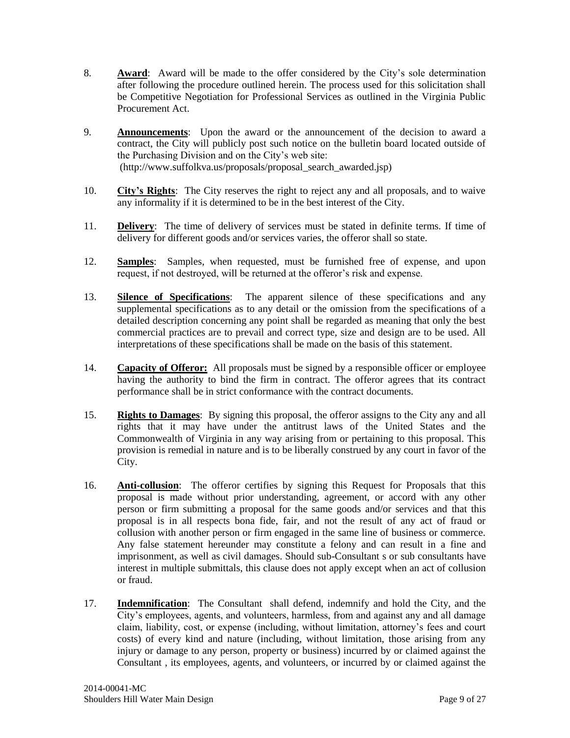- 8. **Award**: Award will be made to the offer considered by the City's sole determination after following the procedure outlined herein. The process used for this solicitation shall be Competitive Negotiation for Professional Services as outlined in the Virginia Public Procurement Act.
- 9. **Announcements**: Upon the award or the announcement of the decision to award a contract, the City will publicly post such notice on the bulletin board located outside of the Purchasing Division and on the City's web site: (http://www.suffolkva.us/proposals/proposal\_search\_awarded.jsp)
- 10. **City's Rights**: The City reserves the right to reject any and all proposals, and to waive any informality if it is determined to be in the best interest of the City.
- 11. **Delivery**: The time of delivery of services must be stated in definite terms. If time of delivery for different goods and/or services varies, the offeror shall so state.
- 12. **Samples**: Samples, when requested, must be furnished free of expense, and upon request, if not destroyed, will be returned at the offeror's risk and expense.
- 13. **Silence of Specifications**: The apparent silence of these specifications and any supplemental specifications as to any detail or the omission from the specifications of a detailed description concerning any point shall be regarded as meaning that only the best commercial practices are to prevail and correct type, size and design are to be used. All interpretations of these specifications shall be made on the basis of this statement.
- 14. **Capacity of Offeror:** All proposals must be signed by a responsible officer or employee having the authority to bind the firm in contract. The offeror agrees that its contract performance shall be in strict conformance with the contract documents.
- 15. **Rights to Damages**: By signing this proposal, the offeror assigns to the City any and all rights that it may have under the antitrust laws of the United States and the Commonwealth of Virginia in any way arising from or pertaining to this proposal. This provision is remedial in nature and is to be liberally construed by any court in favor of the City.
- 16. **Anti-collusion**: The offeror certifies by signing this Request for Proposals that this proposal is made without prior understanding, agreement, or accord with any other person or firm submitting a proposal for the same goods and/or services and that this proposal is in all respects bona fide, fair, and not the result of any act of fraud or collusion with another person or firm engaged in the same line of business or commerce. Any false statement hereunder may constitute a felony and can result in a fine and imprisonment, as well as civil damages. Should sub-Consultant s or sub consultants have interest in multiple submittals, this clause does not apply except when an act of collusion or fraud.
- 17. **Indemnification**: The Consultant shall defend, indemnify and hold the City, and the City's employees, agents, and volunteers, harmless, from and against any and all damage claim, liability, cost, or expense (including, without limitation, attorney's fees and court costs) of every kind and nature (including, without limitation, those arising from any injury or damage to any person, property or business) incurred by or claimed against the Consultant , its employees, agents, and volunteers, or incurred by or claimed against the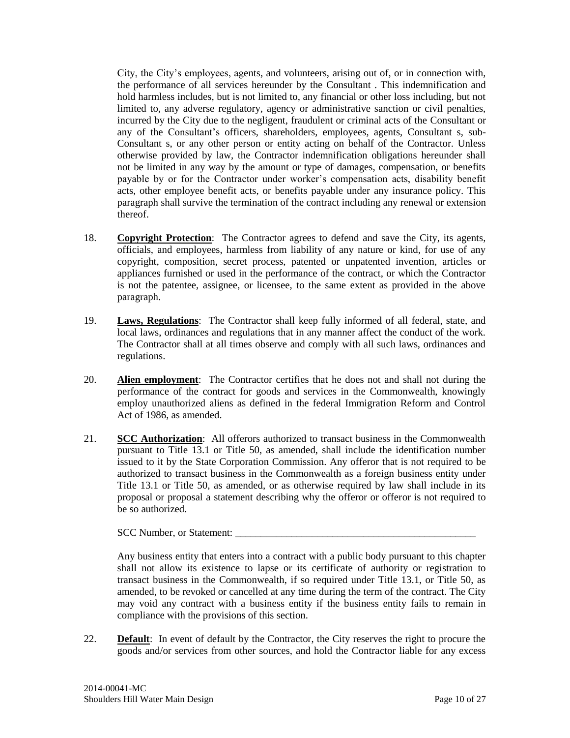City, the City's employees, agents, and volunteers, arising out of, or in connection with, the performance of all services hereunder by the Consultant . This indemnification and hold harmless includes, but is not limited to, any financial or other loss including, but not limited to, any adverse regulatory, agency or administrative sanction or civil penalties, incurred by the City due to the negligent, fraudulent or criminal acts of the Consultant or any of the Consultant's officers, shareholders, employees, agents, Consultant s, sub-Consultant s, or any other person or entity acting on behalf of the Contractor. Unless otherwise provided by law, the Contractor indemnification obligations hereunder shall not be limited in any way by the amount or type of damages, compensation, or benefits payable by or for the Contractor under worker's compensation acts, disability benefit acts, other employee benefit acts, or benefits payable under any insurance policy. This paragraph shall survive the termination of the contract including any renewal or extension thereof.

- 18. **Copyright Protection**: The Contractor agrees to defend and save the City, its agents, officials, and employees, harmless from liability of any nature or kind, for use of any copyright, composition, secret process, patented or unpatented invention, articles or appliances furnished or used in the performance of the contract, or which the Contractor is not the patentee, assignee, or licensee, to the same extent as provided in the above paragraph.
- 19. **Laws, Regulations**: The Contractor shall keep fully informed of all federal, state, and local laws, ordinances and regulations that in any manner affect the conduct of the work. The Contractor shall at all times observe and comply with all such laws, ordinances and regulations.
- 20. **Alien employment**: The Contractor certifies that he does not and shall not during the performance of the contract for goods and services in the Commonwealth, knowingly employ unauthorized aliens as defined in the federal Immigration Reform and Control Act of 1986, as amended.
- 21. **SCC Authorization**: All offerors authorized to transact business in the Commonwealth pursuant to Title 13.1 or Title 50, as amended, shall include the identification number issued to it by the State Corporation Commission. Any offeror that is not required to be authorized to transact business in the Commonwealth as a foreign business entity under Title 13.1 or Title 50, as amended, or as otherwise required by law shall include in its proposal or proposal a statement describing why the offeror or offeror is not required to be so authorized.

SCC Number, or Statement:

Any business entity that enters into a contract with a public body pursuant to this chapter shall not allow its existence to lapse or its certificate of authority or registration to transact business in the Commonwealth, if so required under Title 13.1, or Title 50, as amended, to be revoked or cancelled at any time during the term of the contract. The City may void any contract with a business entity if the business entity fails to remain in compliance with the provisions of this section.

22. **Default**: In event of default by the Contractor, the City reserves the right to procure the goods and/or services from other sources, and hold the Contractor liable for any excess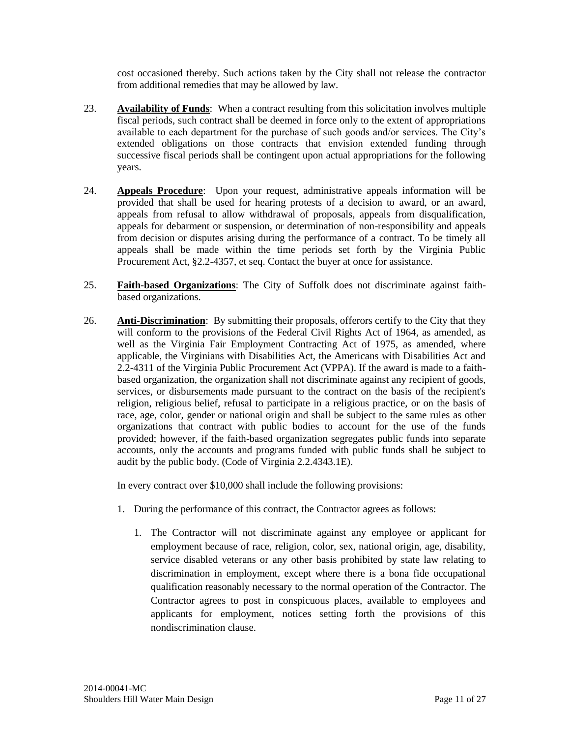cost occasioned thereby. Such actions taken by the City shall not release the contractor from additional remedies that may be allowed by law.

- 23. **Availability of Funds**: When a contract resulting from this solicitation involves multiple fiscal periods, such contract shall be deemed in force only to the extent of appropriations available to each department for the purchase of such goods and/or services. The City's extended obligations on those contracts that envision extended funding through successive fiscal periods shall be contingent upon actual appropriations for the following years.
- 24. **Appeals Procedure**: Upon your request, administrative appeals information will be provided that shall be used for hearing protests of a decision to award, or an award, appeals from refusal to allow withdrawal of proposals, appeals from disqualification, appeals for debarment or suspension, or determination of non-responsibility and appeals from decision or disputes arising during the performance of a contract. To be timely all appeals shall be made within the time periods set forth by the Virginia Public Procurement Act, §2.2-4357, et seq. Contact the buyer at once for assistance.
- 25. **Faith-based Organizations**: The City of Suffolk does not discriminate against faithbased organizations.
- 26. **Anti-Discrimination**: By submitting their proposals, offerors certify to the City that they will conform to the provisions of the Federal Civil Rights Act of 1964, as amended, as well as the Virginia Fair Employment Contracting Act of 1975, as amended, where applicable, the Virginians with Disabilities Act, the Americans with Disabilities Act and 2.2-4311 of the Virginia Public Procurement Act (VPPA). If the award is made to a faithbased organization, the organization shall not discriminate against any recipient of goods, services, or disbursements made pursuant to the contract on the basis of the recipient's religion, religious belief, refusal to participate in a religious practice, or on the basis of race, age, color, gender or national origin and shall be subject to the same rules as other organizations that contract with public bodies to account for the use of the funds provided; however, if the faith-based organization segregates public funds into separate accounts, only the accounts and programs funded with public funds shall be subject to audit by the public body. (Code of Virginia 2.2.4343.1E).

In every contract over \$10,000 shall include the following provisions:

- 1. During the performance of this contract, the Contractor agrees as follows:
	- 1. The Contractor will not discriminate against any employee or applicant for employment because of race, religion, color, sex, national origin, age, disability, service disabled veterans or any other basis prohibited by state law relating to discrimination in employment, except where there is a bona fide occupational qualification reasonably necessary to the normal operation of the Contractor. The Contractor agrees to post in conspicuous places, available to employees and applicants for employment, notices setting forth the provisions of this nondiscrimination clause.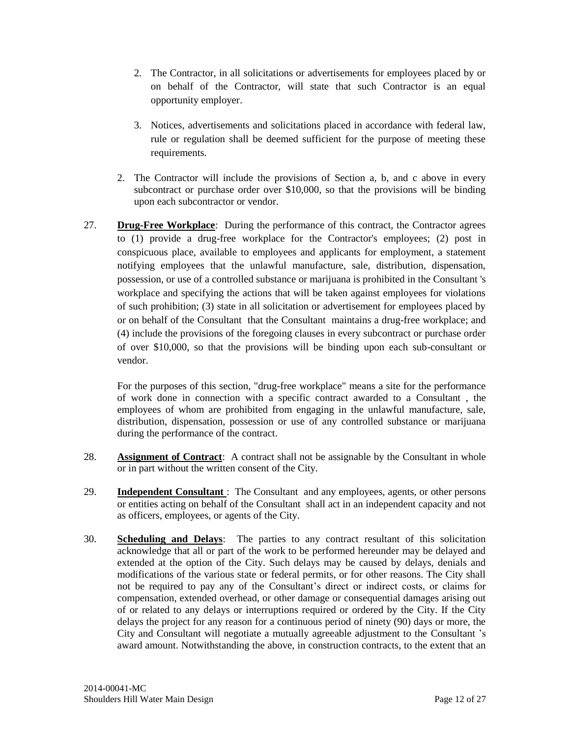- 2. The Contractor, in all solicitations or advertisements for employees placed by or on behalf of the Contractor, will state that such Contractor is an equal opportunity employer.
- 3. Notices, advertisements and solicitations placed in accordance with federal law, rule or regulation shall be deemed sufficient for the purpose of meeting these requirements.
- 2. The Contractor will include the provisions of Section a, b, and c above in every subcontract or purchase order over \$10,000, so that the provisions will be binding upon each subcontractor or vendor.
- 27. **Drug-Free Workplace**: During the performance of this contract, the Contractor agrees to (1) provide a drug-free workplace for the Contractor's employees; (2) post in conspicuous place, available to employees and applicants for employment, a statement notifying employees that the unlawful manufacture, sale, distribution, dispensation, possession, or use of a controlled substance or marijuana is prohibited in the Consultant 's workplace and specifying the actions that will be taken against employees for violations of such prohibition; (3) state in all solicitation or advertisement for employees placed by or on behalf of the Consultant that the Consultant maintains a drug-free workplace; and (4) include the provisions of the foregoing clauses in every subcontract or purchase order of over \$10,000, so that the provisions will be binding upon each sub-consultant or vendor.

For the purposes of this section, "drug-free workplace" means a site for the performance of work done in connection with a specific contract awarded to a Consultant , the employees of whom are prohibited from engaging in the unlawful manufacture, sale, distribution, dispensation, possession or use of any controlled substance or marijuana during the performance of the contract.

- 28. **Assignment of Contract**: A contract shall not be assignable by the Consultant in whole or in part without the written consent of the City.
- 29. **Independent Consultant** : The Consultant and any employees, agents, or other persons or entities acting on behalf of the Consultant shall act in an independent capacity and not as officers, employees, or agents of the City.
- 30. **Scheduling and Delays**: The parties to any contract resultant of this solicitation acknowledge that all or part of the work to be performed hereunder may be delayed and extended at the option of the City. Such delays may be caused by delays, denials and modifications of the various state or federal permits, or for other reasons. The City shall not be required to pay any of the Consultant's direct or indirect costs, or claims for compensation, extended overhead, or other damage or consequential damages arising out of or related to any delays or interruptions required or ordered by the City. If the City delays the project for any reason for a continuous period of ninety (90) days or more, the City and Consultant will negotiate a mutually agreeable adjustment to the Consultant 's award amount. Notwithstanding the above, in construction contracts, to the extent that an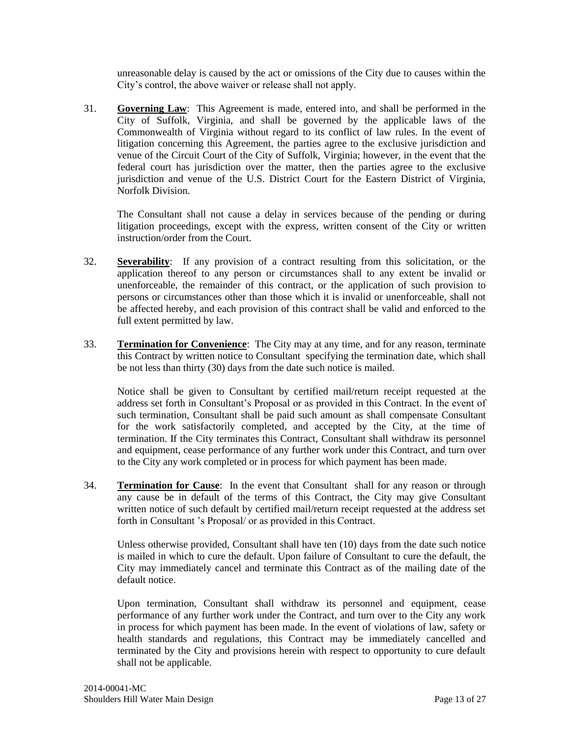unreasonable delay is caused by the act or omissions of the City due to causes within the City's control, the above waiver or release shall not apply.

31. **Governing Law**: This Agreement is made, entered into, and shall be performed in the City of Suffolk, Virginia, and shall be governed by the applicable laws of the Commonwealth of Virginia without regard to its conflict of law rules. In the event of litigation concerning this Agreement, the parties agree to the exclusive jurisdiction and venue of the Circuit Court of the City of Suffolk, Virginia; however, in the event that the federal court has jurisdiction over the matter, then the parties agree to the exclusive jurisdiction and venue of the U.S. District Court for the Eastern District of Virginia, Norfolk Division.

The Consultant shall not cause a delay in services because of the pending or during litigation proceedings, except with the express, written consent of the City or written instruction/order from the Court.

- 32. **Severability**: If any provision of a contract resulting from this solicitation, or the application thereof to any person or circumstances shall to any extent be invalid or unenforceable, the remainder of this contract, or the application of such provision to persons or circumstances other than those which it is invalid or unenforceable, shall not be affected hereby, and each provision of this contract shall be valid and enforced to the full extent permitted by law.
- 33. **Termination for Convenience**: The City may at any time, and for any reason, terminate this Contract by written notice to Consultant specifying the termination date, which shall be not less than thirty (30) days from the date such notice is mailed.

Notice shall be given to Consultant by certified mail/return receipt requested at the address set forth in Consultant's Proposal or as provided in this Contract. In the event of such termination, Consultant shall be paid such amount as shall compensate Consultant for the work satisfactorily completed, and accepted by the City, at the time of termination. If the City terminates this Contract, Consultant shall withdraw its personnel and equipment, cease performance of any further work under this Contract, and turn over to the City any work completed or in process for which payment has been made.

34. **Termination for Cause**: In the event that Consultant shall for any reason or through any cause be in default of the terms of this Contract, the City may give Consultant written notice of such default by certified mail/return receipt requested at the address set forth in Consultant 's Proposal/ or as provided in this Contract.

Unless otherwise provided, Consultant shall have ten (10) days from the date such notice is mailed in which to cure the default. Upon failure of Consultant to cure the default, the City may immediately cancel and terminate this Contract as of the mailing date of the default notice.

Upon termination, Consultant shall withdraw its personnel and equipment, cease performance of any further work under the Contract, and turn over to the City any work in process for which payment has been made. In the event of violations of law, safety or health standards and regulations, this Contract may be immediately cancelled and terminated by the City and provisions herein with respect to opportunity to cure default shall not be applicable.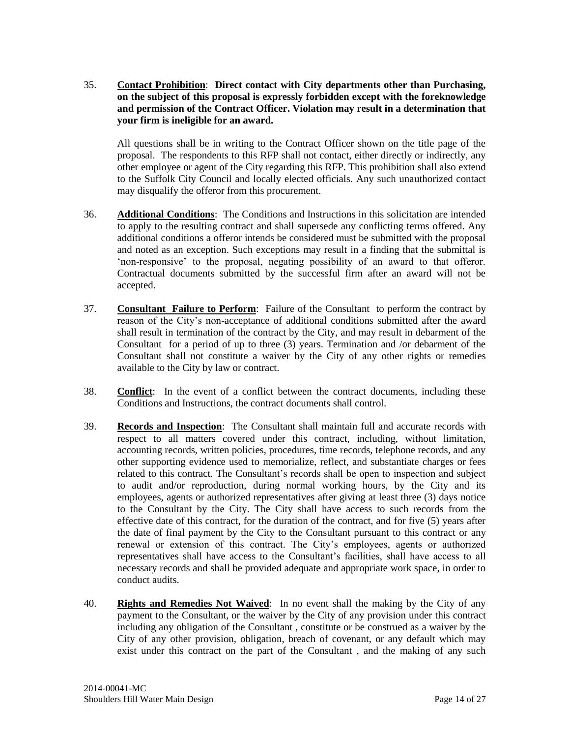35. **Contact Prohibition**: **Direct contact with City departments other than Purchasing, on the subject of this proposal is expressly forbidden except with the foreknowledge and permission of the Contract Officer. Violation may result in a determination that your firm is ineligible for an award.**

All questions shall be in writing to the Contract Officer shown on the title page of the proposal. The respondents to this RFP shall not contact, either directly or indirectly, any other employee or agent of the City regarding this RFP. This prohibition shall also extend to the Suffolk City Council and locally elected officials. Any such unauthorized contact may disqualify the offeror from this procurement.

- 36. **Additional Conditions**: The Conditions and Instructions in this solicitation are intended to apply to the resulting contract and shall supersede any conflicting terms offered. Any additional conditions a offeror intends be considered must be submitted with the proposal and noted as an exception. Such exceptions may result in a finding that the submittal is 'non-responsive' to the proposal, negating possibility of an award to that offeror. Contractual documents submitted by the successful firm after an award will not be accepted.
- 37. **Consultant Failure to Perform**: Failure of the Consultant to perform the contract by reason of the City's non-acceptance of additional conditions submitted after the award shall result in termination of the contract by the City, and may result in debarment of the Consultant for a period of up to three (3) years. Termination and /or debarment of the Consultant shall not constitute a waiver by the City of any other rights or remedies available to the City by law or contract.
- 38. **Conflict**: In the event of a conflict between the contract documents, including these Conditions and Instructions, the contract documents shall control.
- 39. **Records and Inspection**: The Consultant shall maintain full and accurate records with respect to all matters covered under this contract, including, without limitation, accounting records, written policies, procedures, time records, telephone records, and any other supporting evidence used to memorialize, reflect, and substantiate charges or fees related to this contract. The Consultant's records shall be open to inspection and subject to audit and/or reproduction, during normal working hours, by the City and its employees, agents or authorized representatives after giving at least three (3) days notice to the Consultant by the City. The City shall have access to such records from the effective date of this contract, for the duration of the contract, and for five (5) years after the date of final payment by the City to the Consultant pursuant to this contract or any renewal or extension of this contract. The City's employees, agents or authorized representatives shall have access to the Consultant's facilities, shall have access to all necessary records and shall be provided adequate and appropriate work space, in order to conduct audits.
- 40. **Rights and Remedies Not Waived**: In no event shall the making by the City of any payment to the Consultant, or the waiver by the City of any provision under this contract including any obligation of the Consultant , constitute or be construed as a waiver by the City of any other provision, obligation, breach of covenant, or any default which may exist under this contract on the part of the Consultant , and the making of any such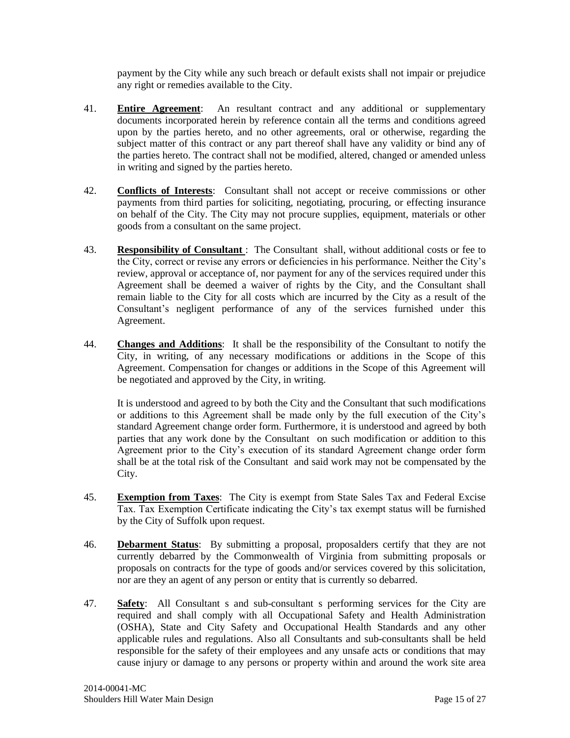payment by the City while any such breach or default exists shall not impair or prejudice any right or remedies available to the City.

- 41. **Entire Agreement**: An resultant contract and any additional or supplementary documents incorporated herein by reference contain all the terms and conditions agreed upon by the parties hereto, and no other agreements, oral or otherwise, regarding the subject matter of this contract or any part thereof shall have any validity or bind any of the parties hereto. The contract shall not be modified, altered, changed or amended unless in writing and signed by the parties hereto.
- 42. **Conflicts of Interests**: Consultant shall not accept or receive commissions or other payments from third parties for soliciting, negotiating, procuring, or effecting insurance on behalf of the City. The City may not procure supplies, equipment, materials or other goods from a consultant on the same project.
- 43. **Responsibility of Consultant** : The Consultant shall, without additional costs or fee to the City, correct or revise any errors or deficiencies in his performance. Neither the City's review, approval or acceptance of, nor payment for any of the services required under this Agreement shall be deemed a waiver of rights by the City, and the Consultant shall remain liable to the City for all costs which are incurred by the City as a result of the Consultant's negligent performance of any of the services furnished under this Agreement.
- 44. **Changes and Additions**: It shall be the responsibility of the Consultant to notify the City, in writing, of any necessary modifications or additions in the Scope of this Agreement. Compensation for changes or additions in the Scope of this Agreement will be negotiated and approved by the City, in writing.

It is understood and agreed to by both the City and the Consultant that such modifications or additions to this Agreement shall be made only by the full execution of the City's standard Agreement change order form. Furthermore, it is understood and agreed by both parties that any work done by the Consultant on such modification or addition to this Agreement prior to the City's execution of its standard Agreement change order form shall be at the total risk of the Consultant and said work may not be compensated by the City.

- 45. **Exemption from Taxes**: The City is exempt from State Sales Tax and Federal Excise Tax. Tax Exemption Certificate indicating the City's tax exempt status will be furnished by the City of Suffolk upon request.
- 46. **Debarment Status**: By submitting a proposal, proposalders certify that they are not currently debarred by the Commonwealth of Virginia from submitting proposals or proposals on contracts for the type of goods and/or services covered by this solicitation, nor are they an agent of any person or entity that is currently so debarred.
- 47. **Safety**: All Consultant s and sub-consultant s performing services for the City are required and shall comply with all Occupational Safety and Health Administration (OSHA), State and City Safety and Occupational Health Standards and any other applicable rules and regulations. Also all Consultants and sub-consultants shall be held responsible for the safety of their employees and any unsafe acts or conditions that may cause injury or damage to any persons or property within and around the work site area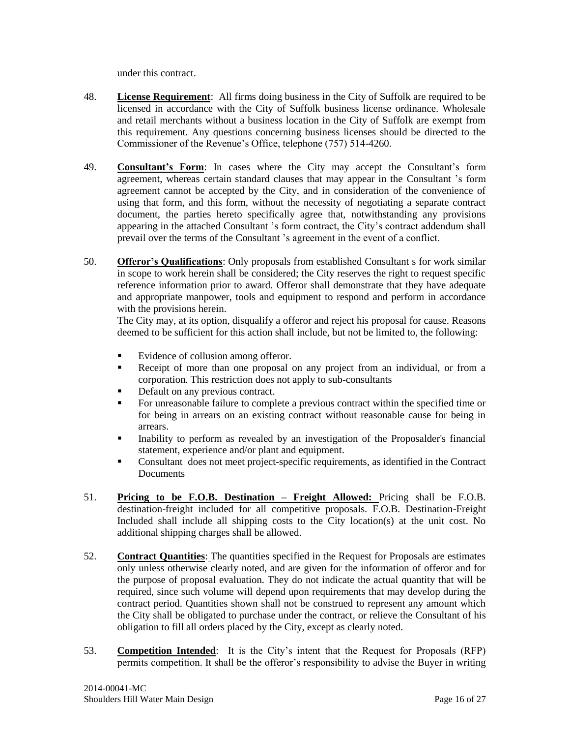under this contract.

- 48. **License Requirement**: All firms doing business in the City of Suffolk are required to be licensed in accordance with the City of Suffolk business license ordinance. Wholesale and retail merchants without a business location in the City of Suffolk are exempt from this requirement. Any questions concerning business licenses should be directed to the Commissioner of the Revenue's Office, telephone (757) 514-4260.
- 49. **Consultant's Form**: In cases where the City may accept the Consultant's form agreement, whereas certain standard clauses that may appear in the Consultant 's form agreement cannot be accepted by the City, and in consideration of the convenience of using that form, and this form, without the necessity of negotiating a separate contract document, the parties hereto specifically agree that, notwithstanding any provisions appearing in the attached Consultant 's form contract, the City's contract addendum shall prevail over the terms of the Consultant 's agreement in the event of a conflict.
- 50. **Offeror's Qualifications**: Only proposals from established Consultant s for work similar in scope to work herein shall be considered; the City reserves the right to request specific reference information prior to award. Offeror shall demonstrate that they have adequate and appropriate manpower, tools and equipment to respond and perform in accordance with the provisions herein.

The City may, at its option, disqualify a offeror and reject his proposal for cause. Reasons deemed to be sufficient for this action shall include, but not be limited to, the following:

- Evidence of collusion among offeror.
- Receipt of more than one proposal on any project from an individual, or from a corporation. This restriction does not apply to sub-consultants
- Default on any previous contract.
- For unreasonable failure to complete a previous contract within the specified time or for being in arrears on an existing contract without reasonable cause for being in arrears.
- Inability to perform as revealed by an investigation of the Proposalder's financial statement, experience and/or plant and equipment.
- Consultant does not meet project-specific requirements, as identified in the Contract Documents
- 51. **Pricing to be F.O.B. Destination – Freight Allowed:** Pricing shall be F.O.B. destination-freight included for all competitive proposals. F.O.B. Destination-Freight Included shall include all shipping costs to the City location(s) at the unit cost. No additional shipping charges shall be allowed.
- 52. **Contract Quantities**: The quantities specified in the Request for Proposals are estimates only unless otherwise clearly noted, and are given for the information of offeror and for the purpose of proposal evaluation. They do not indicate the actual quantity that will be required, since such volume will depend upon requirements that may develop during the contract period. Quantities shown shall not be construed to represent any amount which the City shall be obligated to purchase under the contract, or relieve the Consultant of his obligation to fill all orders placed by the City, except as clearly noted.
- 53. **Competition Intended**: It is the City's intent that the Request for Proposals (RFP) permits competition. It shall be the offeror's responsibility to advise the Buyer in writing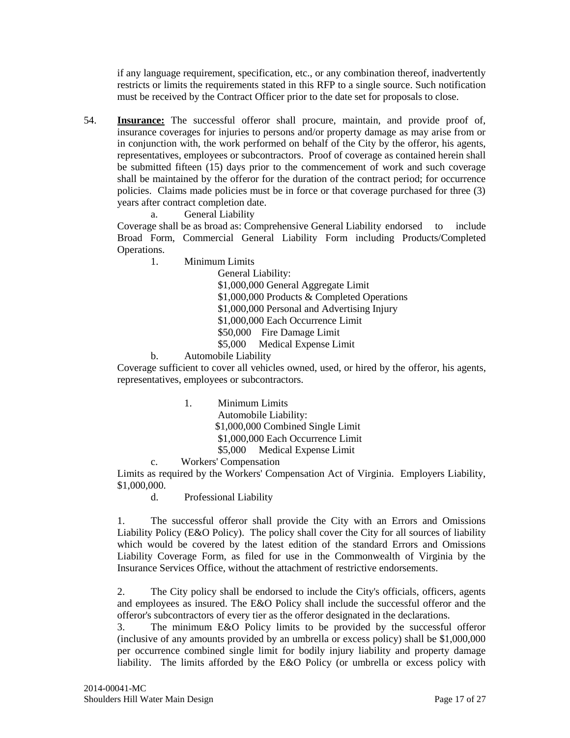if any language requirement, specification, etc., or any combination thereof, inadvertently restricts or limits the requirements stated in this RFP to a single source. Such notification must be received by the Contract Officer prior to the date set for proposals to close.

54. **Insurance:** The successful offeror shall procure, maintain, and provide proof of, insurance coverages for injuries to persons and/or property damage as may arise from or in conjunction with, the work performed on behalf of the City by the offeror, his agents, representatives, employees or subcontractors. Proof of coverage as contained herein shall be submitted fifteen (15) days prior to the commencement of work and such coverage shall be maintained by the offeror for the duration of the contract period; for occurrence policies. Claims made policies must be in force or that coverage purchased for three (3) years after contract completion date.

a. General Liability

Coverage shall be as broad as: Comprehensive General Liability endorsed to include Broad Form, Commercial General Liability Form including Products/Completed Operations.

1. Minimum Limits

General Liability: \$1,000,000 General Aggregate Limit \$1,000,000 Products & Completed Operations \$1,000,000 Personal and Advertising Injury \$1,000,000 Each Occurrence Limit \$50,000 Fire Damage Limit \$5,000 Medical Expense Limit

b. Automobile Liability

Coverage sufficient to cover all vehicles owned, used, or hired by the offeror, his agents, representatives, employees or subcontractors.

1. Minimum Limits

Automobile Liability: \$1,000,000 Combined Single Limit

\$1,000,000 Each Occurrence Limit

- \$5,000 Medical Expense Limit
- c. Workers' Compensation

Limits as required by the Workers' Compensation Act of Virginia. Employers Liability, \$1,000,000.

d. Professional Liability

1. The successful offeror shall provide the City with an Errors and Omissions Liability Policy (E&O Policy). The policy shall cover the City for all sources of liability which would be covered by the latest edition of the standard Errors and Omissions Liability Coverage Form, as filed for use in the Commonwealth of Virginia by the Insurance Services Office, without the attachment of restrictive endorsements.

2. The City policy shall be endorsed to include the City's officials, officers, agents and employees as insured. The E&O Policy shall include the successful offeror and the offeror's subcontractors of every tier as the offeror designated in the declarations.

3. The minimum E&O Policy limits to be provided by the successful offeror (inclusive of any amounts provided by an umbrella or excess policy) shall be \$1,000,000 per occurrence combined single limit for bodily injury liability and property damage liability. The limits afforded by the E&O Policy (or umbrella or excess policy with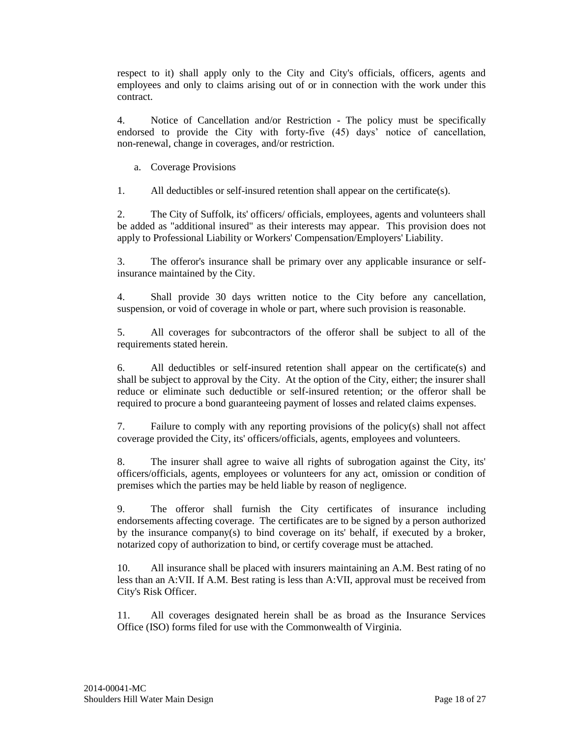respect to it) shall apply only to the City and City's officials, officers, agents and employees and only to claims arising out of or in connection with the work under this contract.

4. Notice of Cancellation and/or Restriction - The policy must be specifically endorsed to provide the City with forty-five (45) days' notice of cancellation, non-renewal, change in coverages, and/or restriction.

a. Coverage Provisions

1. All deductibles or self-insured retention shall appear on the certificate(s).

2. The City of Suffolk, its' officers/ officials, employees, agents and volunteers shall be added as "additional insured" as their interests may appear. This provision does not apply to Professional Liability or Workers' Compensation/Employers' Liability.

3. The offeror's insurance shall be primary over any applicable insurance or selfinsurance maintained by the City.

4. Shall provide 30 days written notice to the City before any cancellation, suspension, or void of coverage in whole or part, where such provision is reasonable.

5. All coverages for subcontractors of the offeror shall be subject to all of the requirements stated herein.

6. All deductibles or self-insured retention shall appear on the certificate(s) and shall be subject to approval by the City. At the option of the City, either; the insurer shall reduce or eliminate such deductible or self-insured retention; or the offeror shall be required to procure a bond guaranteeing payment of losses and related claims expenses.

7. Failure to comply with any reporting provisions of the policy(s) shall not affect coverage provided the City, its' officers/officials, agents, employees and volunteers.

8. The insurer shall agree to waive all rights of subrogation against the City, its' officers/officials, agents, employees or volunteers for any act, omission or condition of premises which the parties may be held liable by reason of negligence.

9. The offeror shall furnish the City certificates of insurance including endorsements affecting coverage. The certificates are to be signed by a person authorized by the insurance company(s) to bind coverage on its' behalf, if executed by a broker, notarized copy of authorization to bind, or certify coverage must be attached.

10. All insurance shall be placed with insurers maintaining an A.M. Best rating of no less than an A:VII. If A.M. Best rating is less than A:VII, approval must be received from City's Risk Officer.

11. All coverages designated herein shall be as broad as the Insurance Services Office (ISO) forms filed for use with the Commonwealth of Virginia.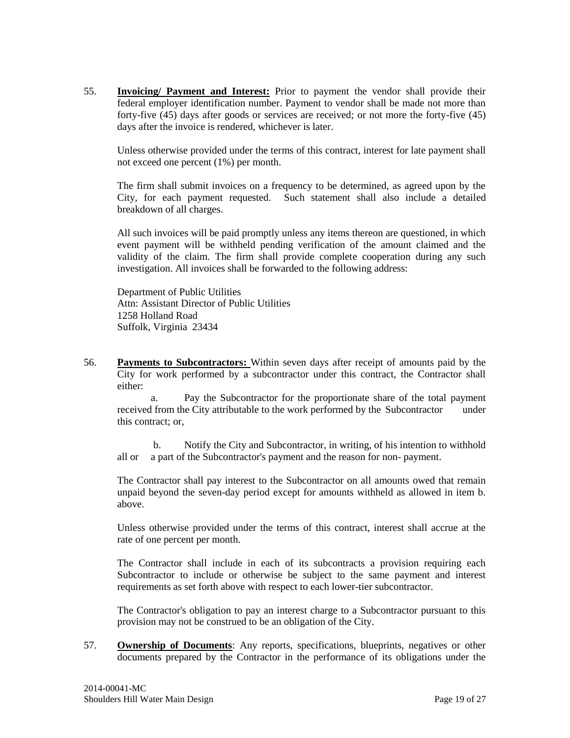55. **Invoicing/ Payment and Interest:** Prior to payment the vendor shall provide their federal employer identification number. Payment to vendor shall be made not more than forty-five (45) days after goods or services are received; or not more the forty-five (45) days after the invoice is rendered, whichever is later.

Unless otherwise provided under the terms of this contract, interest for late payment shall not exceed one percent (1%) per month.

The firm shall submit invoices on a frequency to be determined, as agreed upon by the City, for each payment requested. Such statement shall also include a detailed breakdown of all charges.

All such invoices will be paid promptly unless any items thereon are questioned, in which event payment will be withheld pending verification of the amount claimed and the validity of the claim. The firm shall provide complete cooperation during any such investigation. All invoices shall be forwarded to the following address:

Department of Public Utilities Attn: Assistant Director of Public Utilities 1258 Holland Road Suffolk, Virginia 23434

56. **Payments to Subcontractors:** Within seven days after receipt of amounts paid by the City for work performed by a subcontractor under this contract, the Contractor shall either:

a. Pay the Subcontractor for the proportionate share of the total payment received from the City attributable to the work performed by the Subcontractor under this contract; or,

 b. Notify the City and Subcontractor, in writing, of his intention to withhold all or a part of the Subcontractor's payment and the reason for non- payment.

The Contractor shall pay interest to the Subcontractor on all amounts owed that remain unpaid beyond the seven-day period except for amounts withheld as allowed in item b. above.

Unless otherwise provided under the terms of this contract, interest shall accrue at the rate of one percent per month.

The Contractor shall include in each of its subcontracts a provision requiring each Subcontractor to include or otherwise be subject to the same payment and interest requirements as set forth above with respect to each lower-tier subcontractor.

The Contractor's obligation to pay an interest charge to a Subcontractor pursuant to this provision may not be construed to be an obligation of the City.

57. **Ownership of Documents**: Any reports, specifications, blueprints, negatives or other documents prepared by the Contractor in the performance of its obligations under the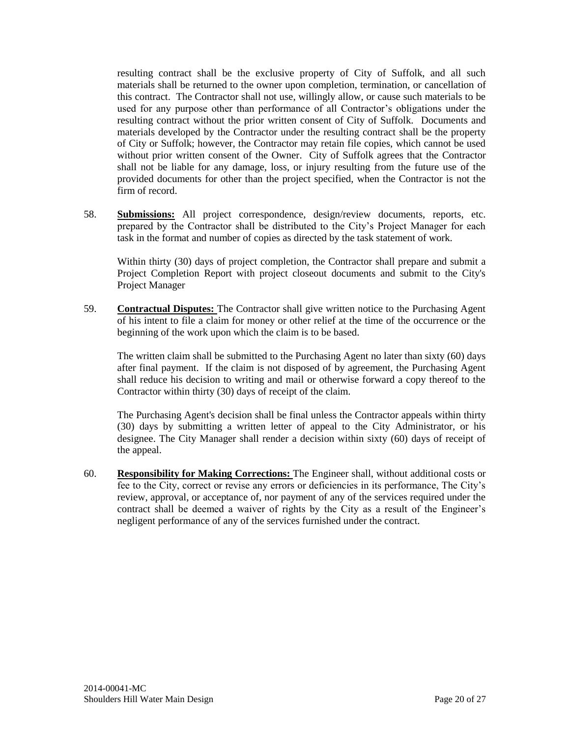resulting contract shall be the exclusive property of City of Suffolk, and all such materials shall be returned to the owner upon completion, termination, or cancellation of this contract. The Contractor shall not use, willingly allow, or cause such materials to be used for any purpose other than performance of all Contractor's obligations under the resulting contract without the prior written consent of City of Suffolk. Documents and materials developed by the Contractor under the resulting contract shall be the property of City or Suffolk; however, the Contractor may retain file copies, which cannot be used without prior written consent of the Owner. City of Suffolk agrees that the Contractor shall not be liable for any damage, loss, or injury resulting from the future use of the provided documents for other than the project specified, when the Contractor is not the firm of record.

58. **Submissions:** All project correspondence, design/review documents, reports, etc. prepared by the Contractor shall be distributed to the City's Project Manager for each task in the format and number of copies as directed by the task statement of work.

Within thirty (30) days of project completion, the Contractor shall prepare and submit a Project Completion Report with project closeout documents and submit to the City's Project Manager

59. **Contractual Disputes:** The Contractor shall give written notice to the Purchasing Agent of his intent to file a claim for money or other relief at the time of the occurrence or the beginning of the work upon which the claim is to be based.

The written claim shall be submitted to the Purchasing Agent no later than sixty (60) days after final payment. If the claim is not disposed of by agreement, the Purchasing Agent shall reduce his decision to writing and mail or otherwise forward a copy thereof to the Contractor within thirty (30) days of receipt of the claim.

The Purchasing Agent's decision shall be final unless the Contractor appeals within thirty (30) days by submitting a written letter of appeal to the City Administrator, or his designee. The City Manager shall render a decision within sixty (60) days of receipt of the appeal.

60. **Responsibility for Making Corrections:** The Engineer shall, without additional costs or fee to the City, correct or revise any errors or deficiencies in its performance, The City's review, approval, or acceptance of, nor payment of any of the services required under the contract shall be deemed a waiver of rights by the City as a result of the Engineer's negligent performance of any of the services furnished under the contract.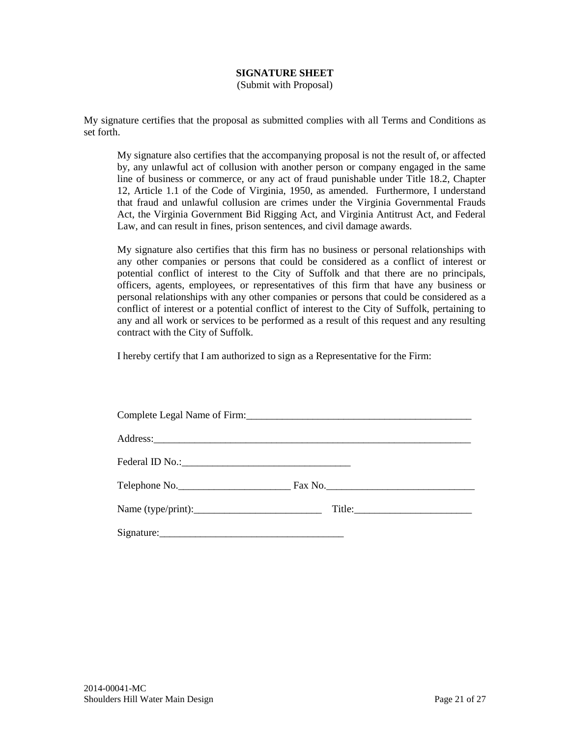# **SIGNATURE SHEET**

(Submit with Proposal)

<span id="page-20-0"></span>My signature certifies that the proposal as submitted complies with all Terms and Conditions as set forth.

My signature also certifies that the accompanying proposal is not the result of, or affected by, any unlawful act of collusion with another person or company engaged in the same line of business or commerce, or any act of fraud punishable under Title 18.2, Chapter 12, Article 1.1 of the Code of Virginia, 1950, as amended. Furthermore, I understand that fraud and unlawful collusion are crimes under the Virginia Governmental Frauds Act, the Virginia Government Bid Rigging Act, and Virginia Antitrust Act, and Federal Law, and can result in fines, prison sentences, and civil damage awards.

My signature also certifies that this firm has no business or personal relationships with any other companies or persons that could be considered as a conflict of interest or potential conflict of interest to the City of Suffolk and that there are no principals, officers, agents, employees, or representatives of this firm that have any business or personal relationships with any other companies or persons that could be considered as a conflict of interest or a potential conflict of interest to the City of Suffolk, pertaining to any and all work or services to be performed as a result of this request and any resulting contract with the City of Suffolk.

I hereby certify that I am authorized to sign as a Representative for the Firm:

| Address: <u>Address:</u> |  |
|--------------------------|--|
|                          |  |
|                          |  |
|                          |  |
|                          |  |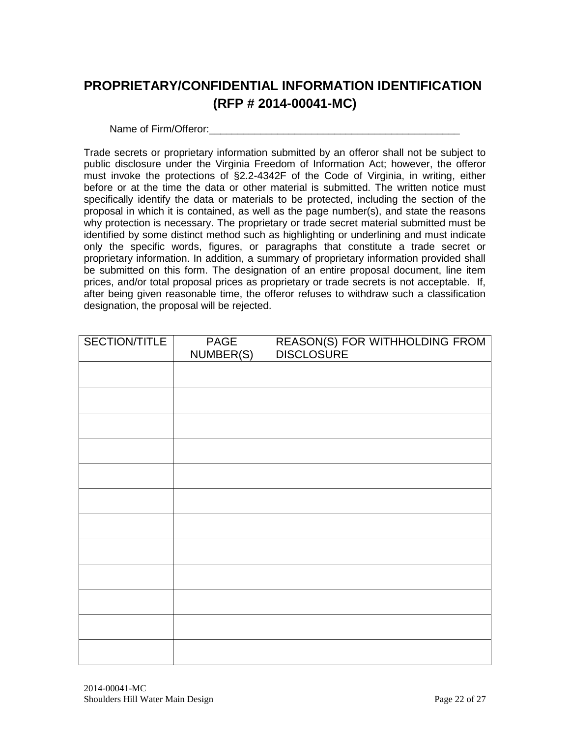# <span id="page-21-0"></span>**PROPRIETARY/CONFIDENTIAL INFORMATION IDENTIFICATION (RFP # 2014-00041-MC)**

Name of Firm/Offeror:

Trade secrets or proprietary information submitted by an offeror shall not be subject to public disclosure under the Virginia Freedom of Information Act; however, the offeror must invoke the protections of §2.2-4342F of the Code of Virginia, in writing, either before or at the time the data or other material is submitted. The written notice must specifically identify the data or materials to be protected, including the section of the proposal in which it is contained, as well as the page number(s), and state the reasons why protection is necessary. The proprietary or trade secret material submitted must be identified by some distinct method such as highlighting or underlining and must indicate only the specific words, figures, or paragraphs that constitute a trade secret or proprietary information. In addition, a summary of proprietary information provided shall be submitted on this form. The designation of an entire proposal document, line item prices, and/or total proposal prices as proprietary or trade secrets is not acceptable. If, after being given reasonable time, the offeror refuses to withdraw such a classification designation, the proposal will be rejected.

| SECTION/TITLE | PAGE<br>NUMBER(S) | REASON(S) FOR WITHHOLDING FROM<br>DISCLOSURE |
|---------------|-------------------|----------------------------------------------|
|               |                   |                                              |
|               |                   |                                              |
|               |                   |                                              |
|               |                   |                                              |
|               |                   |                                              |
|               |                   |                                              |
|               |                   |                                              |
|               |                   |                                              |
|               |                   |                                              |
|               |                   |                                              |
|               |                   |                                              |
|               |                   |                                              |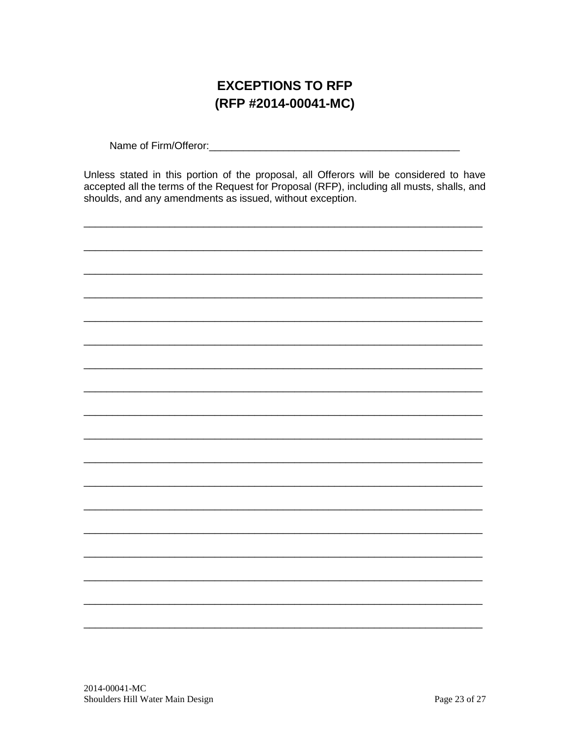# **EXCEPTIONS TO RFP** (RFP #2014-00041-MC)

<span id="page-22-0"></span>

Unless stated in this portion of the proposal, all Offerors will be considered to have accepted all the terms of the Request for Proposal (RFP), including all musts, shalls, and shoulds, and any amendments as issued, without exception.

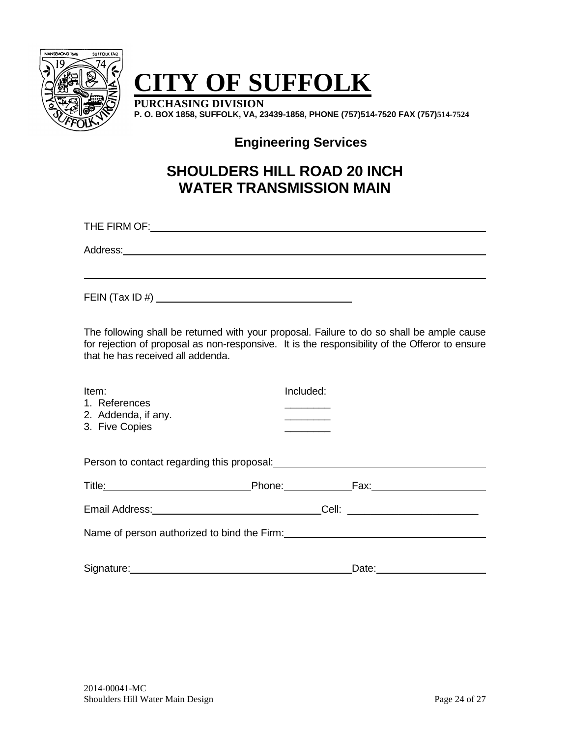

# **CITY OF SUFFOLK**

**PURCHASING DIVISION P. O. BOX 1858, SUFFOLK, VA, 23439-1858, PHONE (757)514-7520 FAX (757)514-7524**

**Engineering Services**

# **SHOULDERS HILL ROAD 20 INCH WATER TRANSMISSION MAIN**

THE FIRM OF: **The FIRM OF:** The state of the state of the state of the state of the state of the state of the state of the state of the state of the state of the state of the state of the state of the state of the state of

Address: **Address: Address: Address: Address: Address: Address: Address: Address: Address: Address: Address: Address: Address: Address:** 

FEIN (Tax ID #)

The following shall be returned with your proposal. Failure to do so shall be ample cause for rejection of proposal as non-responsive. It is the responsibility of the Offeror to ensure that he has received all addenda.

| Item:               | Included: |
|---------------------|-----------|
| 1. References       |           |
| 2. Addenda, if any. |           |
| 3. Five Copies      |           |
|                     |           |

| Person to contact regarding this proposal:  |                                                                                                                                                                                                                                |  |                                 |  |
|---------------------------------------------|--------------------------------------------------------------------------------------------------------------------------------------------------------------------------------------------------------------------------------|--|---------------------------------|--|
| Title:                                      | Phone: The control of the control of the control of the control of the control of the control of the control of the control of the control of the control of the control of the control of the control of the control of the c |  | Fax:                            |  |
| Email Address:                              |                                                                                                                                                                                                                                |  | Cell: _________________________ |  |
| Name of person authorized to bind the Firm: |                                                                                                                                                                                                                                |  |                                 |  |
|                                             |                                                                                                                                                                                                                                |  |                                 |  |

Signature: Note: Note: Note: Note: Note: Note: Note: Note: Note: Note: Note: Note: Note: Note: Note: Note: Note: Note: Note: Note: Note: Note: Note: Note: Note: Note: Note: Note: Note: Note: Note: Note: Note: Note: Note: N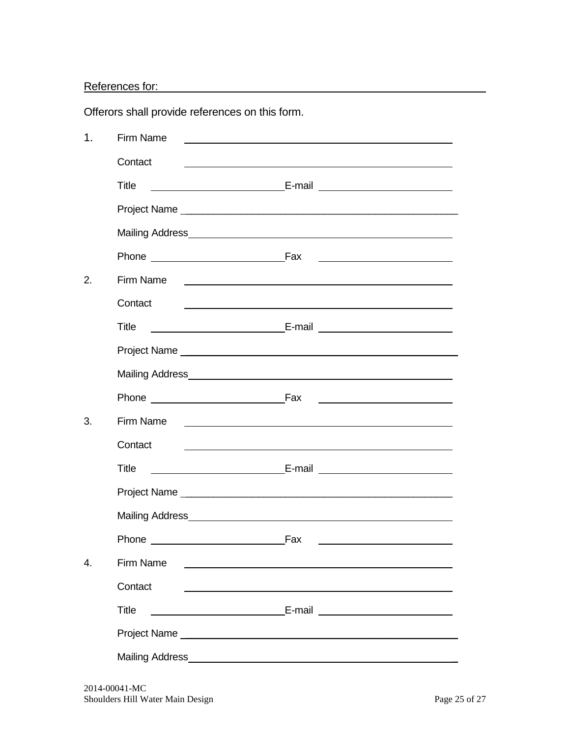References for:

Offerors shall provide references on this form.

| $\mathbf 1$ . | <b>Firm Name</b>                                                                                                                        |                                                                                                                       |
|---------------|-----------------------------------------------------------------------------------------------------------------------------------------|-----------------------------------------------------------------------------------------------------------------------|
|               | Contact                                                                                                                                 |                                                                                                                       |
|               | <b>Title</b>                                                                                                                            |                                                                                                                       |
|               |                                                                                                                                         |                                                                                                                       |
|               |                                                                                                                                         |                                                                                                                       |
|               |                                                                                                                                         |                                                                                                                       |
| 2.            | Firm Name                                                                                                                               |                                                                                                                       |
|               | Contact                                                                                                                                 | <u> 1989 - Johann Stein, marwolaethau a bhann an t-Amhainn an t-Amhainn an t-Amhainn an t-Amhainn an t-Amhainn an</u> |
|               | <b>Title</b>                                                                                                                            |                                                                                                                       |
|               |                                                                                                                                         |                                                                                                                       |
|               |                                                                                                                                         |                                                                                                                       |
|               |                                                                                                                                         | <u> Alexandria de la contrada de la contrada de la con</u>                                                            |
| 3.            | Firm Name                                                                                                                               | <u> 1989 - Johann Harry Harry Harry Harry Harry Harry Harry Harry Harry Harry Harry Harry Harry Harry Harry Harry</u> |
|               | Contact                                                                                                                                 |                                                                                                                       |
|               | Title                                                                                                                                   |                                                                                                                       |
|               |                                                                                                                                         |                                                                                                                       |
|               |                                                                                                                                         |                                                                                                                       |
|               | Phone Fax                                                                                                                               |                                                                                                                       |
| 4.            | <b>Firm Name</b>                                                                                                                        |                                                                                                                       |
|               | Contact                                                                                                                                 |                                                                                                                       |
|               | <b>Title</b>                                                                                                                            |                                                                                                                       |
|               |                                                                                                                                         |                                                                                                                       |
|               | Mailing Address<br><u> 1980 - Jan Samuel Barbara, martin da shekara 1980 - An tsa a tsa a tsa a tsa a tsa a tsa a tsa a tsa a tsa a</u> |                                                                                                                       |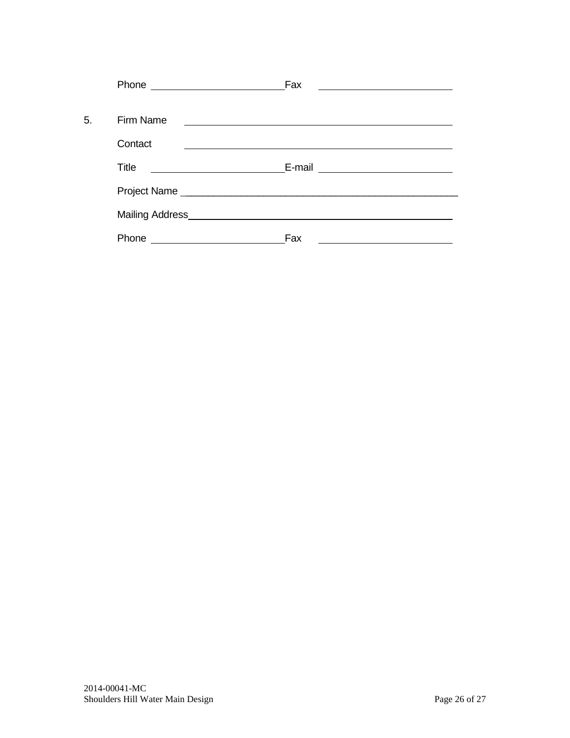|    |                                                    | Fax    |
|----|----------------------------------------------------|--------|
| 5. | Firm Name                                          |        |
|    | Contact                                            |        |
|    | Title                                              | E-mail |
|    |                                                    |        |
|    | Mailing Address Management and the Mailing Address |        |
|    | Phone                                              | Fax    |